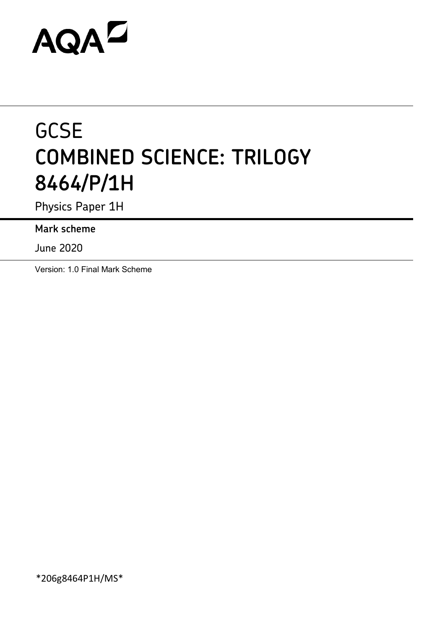# AQAZ

## **GCSE COMBINED SCIENCE: TRILOGY 8464/P/1H**

Physics Paper 1H

**Mark scheme**

June 2020

Version: 1.0 Final Mark Scheme

\*206g8464P1H/MS\*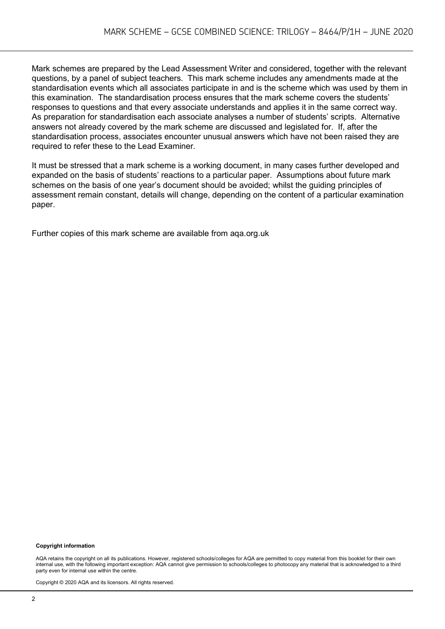Mark schemes are prepared by the Lead Assessment Writer and considered, together with the relevant questions, by a panel of subject teachers. This mark scheme includes any amendments made at the standardisation events which all associates participate in and is the scheme which was used by them in this examination. The standardisation process ensures that the mark scheme covers the students' responses to questions and that every associate understands and applies it in the same correct way. As preparation for standardisation each associate analyses a number of students' scripts. Alternative answers not already covered by the mark scheme are discussed and legislated for. If, after the standardisation process, associates encounter unusual answers which have not been raised they are required to refer these to the Lead Examiner.

It must be stressed that a mark scheme is a working document, in many cases further developed and expanded on the basis of students' reactions to a particular paper. Assumptions about future mark schemes on the basis of one year's document should be avoided; whilst the guiding principles of assessment remain constant, details will change, depending on the content of a particular examination paper.

Further copies of this mark scheme are available from aqa.org.uk

#### **Copyright information**

AQA retains the copyright on all its publications. However, registered schools/colleges for AQA are permitted to copy material from this booklet for their own internal use, with the following important exception: AQA cannot give permission to schools/colleges to photocopy any material that is acknowledged to a third party even for internal use within the centre.

Copyright © 2020 AQA and its licensors. All rights reserved.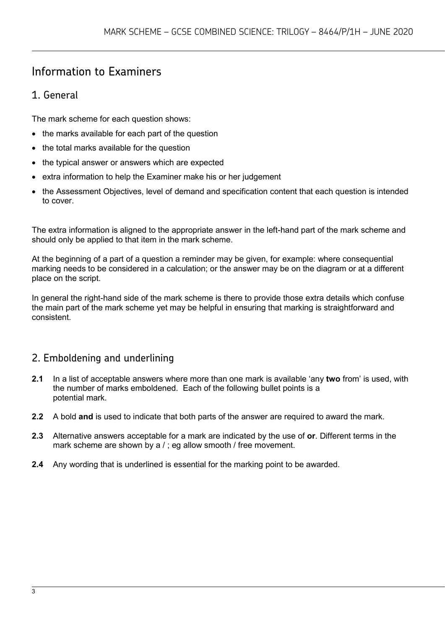### Information to Examiners

#### 1. General

The mark scheme for each question shows:

- the marks available for each part of the question
- the total marks available for the question
- the typical answer or answers which are expected
- extra information to help the Examiner make his or her judgement
- the Assessment Objectives, level of demand and specification content that each question is intended to cover.

The extra information is aligned to the appropriate answer in the left-hand part of the mark scheme and should only be applied to that item in the mark scheme.

At the beginning of a part of a question a reminder may be given, for example: where consequential marking needs to be considered in a calculation; or the answer may be on the diagram or at a different place on the script.

In general the right-hand side of the mark scheme is there to provide those extra details which confuse the main part of the mark scheme yet may be helpful in ensuring that marking is straightforward and consistent.

#### 2. Emboldening and underlining

- **2.1** In a list of acceptable answers where more than one mark is available 'any **two** from' is used, with the number of marks emboldened. Each of the following bullet points is a potential mark.
- **2.2** A bold **and** is used to indicate that both parts of the answer are required to award the mark.
- **2.3** Alternative answers acceptable for a mark are indicated by the use of **or**. Different terms in the mark scheme are shown by a / ; eg allow smooth / free movement.
- **2.4** Any wording that is underlined is essential for the marking point to be awarded.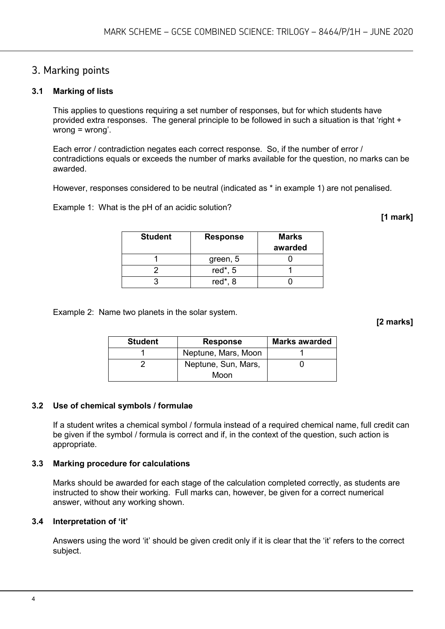#### 3. Marking points

#### **3.1 Marking of lists**

This applies to questions requiring a set number of responses, but for which students have provided extra responses. The general principle to be followed in such a situation is that 'right + wrong = wrong'.

Each error / contradiction negates each correct response. So, if the number of error / contradictions equals or exceeds the number of marks available for the question, no marks can be awarded.

However, responses considered to be neutral (indicated as \* in example 1) are not penalised.

Example 1: What is the pH of an acidic solution?

**[1 mark]**

| <b>Student</b> | <b>Response</b> | <b>Marks</b><br>awarded |
|----------------|-----------------|-------------------------|
|                | green, 5        |                         |
|                | red $*$ , 5     |                         |
|                | red $*$ , 8     |                         |

Example 2: Name two planets in the solar system.

**[2 marks]**

| <b>Student</b> | <b>Response</b>     | <b>Marks awarded</b> |
|----------------|---------------------|----------------------|
|                | Neptune, Mars, Moon |                      |
|                | Neptune, Sun, Mars, |                      |
|                | Moon                |                      |

#### **3.2 Use of chemical symbols / formulae**

If a student writes a chemical symbol / formula instead of a required chemical name, full credit can be given if the symbol / formula is correct and if, in the context of the question, such action is appropriate.

#### **3.3 Marking procedure for calculations**

Marks should be awarded for each stage of the calculation completed correctly, as students are instructed to show their working. Full marks can, however, be given for a correct numerical answer, without any working shown.

#### **3.4 Interpretation of 'it'**

Answers using the word 'it' should be given credit only if it is clear that the 'it' refers to the correct subject.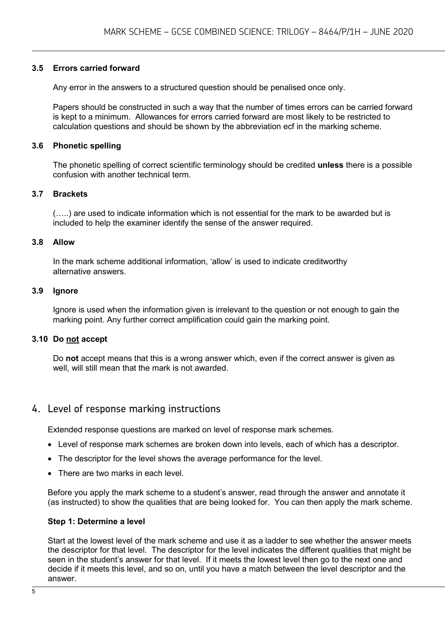#### **3.5 Errors carried forward**

Any error in the answers to a structured question should be penalised once only.

Papers should be constructed in such a way that the number of times errors can be carried forward is kept to a minimum. Allowances for errors carried forward are most likely to be restricted to calculation questions and should be shown by the abbreviation ecf in the marking scheme.

#### **3.6 Phonetic spelling**

The phonetic spelling of correct scientific terminology should be credited **unless** there is a possible confusion with another technical term.

#### **3.7 Brackets**

(…..) are used to indicate information which is not essential for the mark to be awarded but is included to help the examiner identify the sense of the answer required.

#### **3.8 Allow**

In the mark scheme additional information, 'allow' is used to indicate creditworthy alternative answers.

#### **3.9 Ignore**

Ignore is used when the information given is irrelevant to the question or not enough to gain the marking point. Any further correct amplification could gain the marking point.

#### **3.10 Do not accept**

Do **not** accept means that this is a wrong answer which, even if the correct answer is given as well, will still mean that the mark is not awarded.

#### 4. Level of response marking instructions

Extended response questions are marked on level of response mark schemes.

- Level of response mark schemes are broken down into levels, each of which has a descriptor.
- The descriptor for the level shows the average performance for the level.
- There are two marks in each level.

Before you apply the mark scheme to a student's answer, read through the answer and annotate it (as instructed) to show the qualities that are being looked for. You can then apply the mark scheme.

#### **Step 1: Determine a level**

Start at the lowest level of the mark scheme and use it as a ladder to see whether the answer meets the descriptor for that level. The descriptor for the level indicates the different qualities that might be seen in the student's answer for that level. If it meets the lowest level then go to the next one and decide if it meets this level, and so on, until you have a match between the level descriptor and the answer.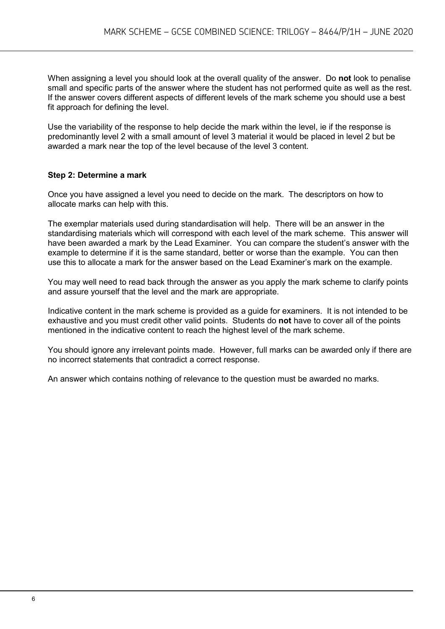When assigning a level you should look at the overall quality of the answer. Do **not** look to penalise small and specific parts of the answer where the student has not performed quite as well as the rest. If the answer covers different aspects of different levels of the mark scheme you should use a best fit approach for defining the level.

Use the variability of the response to help decide the mark within the level, ie if the response is predominantly level 2 with a small amount of level 3 material it would be placed in level 2 but be awarded a mark near the top of the level because of the level 3 content.

#### **Step 2: Determine a mark**

Once you have assigned a level you need to decide on the mark. The descriptors on how to allocate marks can help with this.

The exemplar materials used during standardisation will help. There will be an answer in the standardising materials which will correspond with each level of the mark scheme. This answer will have been awarded a mark by the Lead Examiner. You can compare the student's answer with the example to determine if it is the same standard, better or worse than the example. You can then use this to allocate a mark for the answer based on the Lead Examiner's mark on the example.

You may well need to read back through the answer as you apply the mark scheme to clarify points and assure yourself that the level and the mark are appropriate.

Indicative content in the mark scheme is provided as a guide for examiners. It is not intended to be exhaustive and you must credit other valid points. Students do **not** have to cover all of the points mentioned in the indicative content to reach the highest level of the mark scheme.

You should ignore any irrelevant points made. However, full marks can be awarded only if there are no incorrect statements that contradict a correct response.

An answer which contains nothing of relevance to the question must be awarded no marks.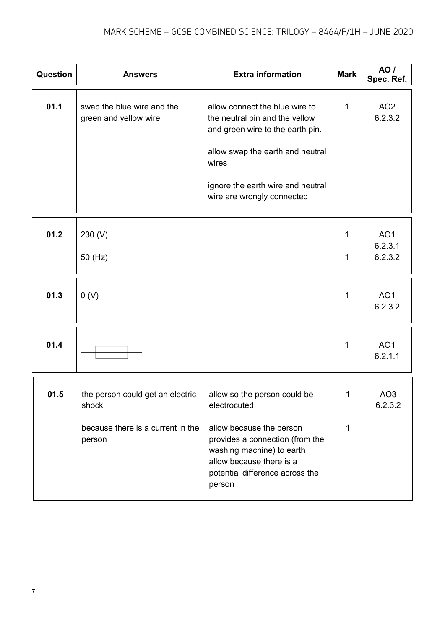| Question | <b>Answers</b>                                                                           | <b>Extra information</b>                                                                                                                                                                                             | <b>Mark</b> | <b>AO</b> /<br>Spec. Ref.             |
|----------|------------------------------------------------------------------------------------------|----------------------------------------------------------------------------------------------------------------------------------------------------------------------------------------------------------------------|-------------|---------------------------------------|
| 01.1     | swap the blue wire and the<br>green and yellow wire                                      | allow connect the blue wire to<br>the neutral pin and the yellow<br>and green wire to the earth pin.<br>allow swap the earth and neutral<br>wires<br>ignore the earth wire and neutral<br>wire are wrongly connected | 1           | AO <sub>2</sub><br>6.2.3.2            |
| 01.2     | 230 (V)<br>50 (Hz)                                                                       |                                                                                                                                                                                                                      | 1<br>1      | AO <sub>1</sub><br>6.2.3.1<br>6.2.3.2 |
| 01.3     | 0(V)                                                                                     |                                                                                                                                                                                                                      | 1           | AO <sub>1</sub><br>6.2.3.2            |
| 01.4     |                                                                                          |                                                                                                                                                                                                                      | 1           | AO <sub>1</sub><br>6.2.1.1            |
| 01.5     | the person could get an electric<br>shock<br>because there is a current in the<br>person | allow so the person could be<br>electrocuted<br>allow because the person<br>provides a connection (from the<br>washing machine) to earth<br>allow because there is a<br>potential difference across the<br>person    | 1.<br>1     | AO <sub>3</sub><br>6.2.3.2            |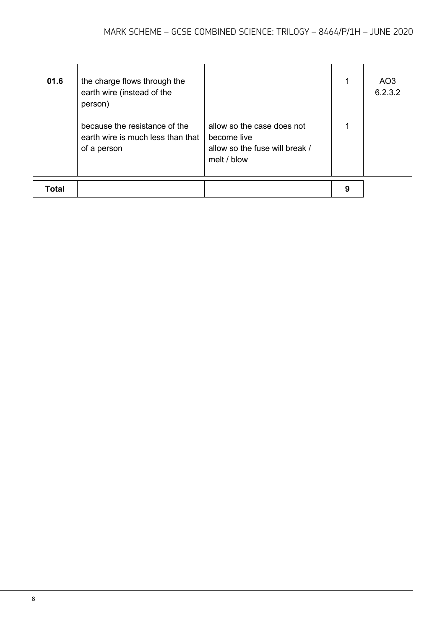| Total | earth wire is much less than that<br>of a person                                                       | become live<br>allow so the fuse will break /<br>melt / blow | 9 |                |
|-------|--------------------------------------------------------------------------------------------------------|--------------------------------------------------------------|---|----------------|
| 01.6  | the charge flows through the<br>earth wire (instead of the<br>person)<br>because the resistance of the | allow so the case does not                                   | 1 | AO3<br>6.2.3.2 |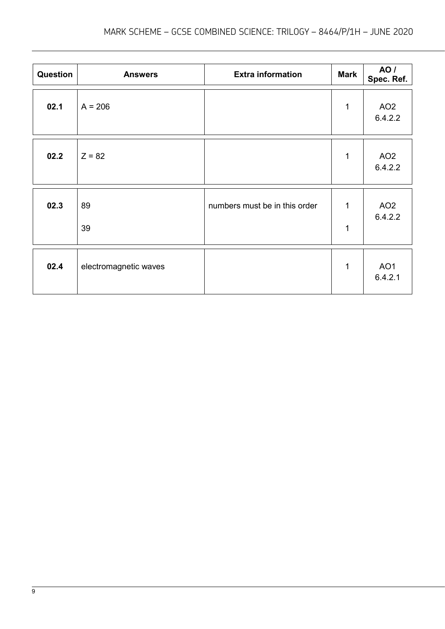| Question | <b>Answers</b>        | <b>Extra information</b>      | <b>Mark</b>       | <b>AO</b> /<br>Spec. Ref.  |
|----------|-----------------------|-------------------------------|-------------------|----------------------------|
| 02.1     | $A = 206$             |                               | $\mathbf{1}$      | AO <sub>2</sub><br>6.4.2.2 |
| 02.2     | $Z = 82$              |                               | $\mathbf{1}$      | AO <sub>2</sub><br>6.4.2.2 |
| 02.3     | 89<br>39              | numbers must be in this order | 1<br>$\mathbf{1}$ | AO <sub>2</sub><br>6.4.2.2 |
| 02.4     | electromagnetic waves |                               | $\mathbf{1}$      | AO <sub>1</sub><br>6.4.2.1 |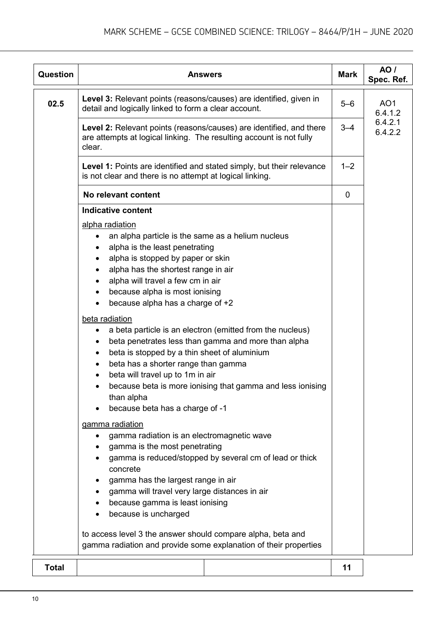| <b>Question</b> | <b>Answers</b>                                                                                                                                                                                                                                                                                                                                                                                                           | <b>Mark</b> | AO /<br>Spec. Ref.         |  |  |
|-----------------|--------------------------------------------------------------------------------------------------------------------------------------------------------------------------------------------------------------------------------------------------------------------------------------------------------------------------------------------------------------------------------------------------------------------------|-------------|----------------------------|--|--|
| 02.5            | Level 3: Relevant points (reasons/causes) are identified, given in<br>detail and logically linked to form a clear account.                                                                                                                                                                                                                                                                                               | $5 - 6$     | AO <sub>1</sub><br>6.4.1.2 |  |  |
|                 | Level 2: Relevant points (reasons/causes) are identified, and there<br>are attempts at logical linking. The resulting account is not fully<br>clear.                                                                                                                                                                                                                                                                     | $3 - 4$     | 6.4.2.1<br>6.4.2.2         |  |  |
|                 | Level 1: Points are identified and stated simply, but their relevance<br>is not clear and there is no attempt at logical linking.                                                                                                                                                                                                                                                                                        | $1 - 2$     |                            |  |  |
|                 | No relevant content                                                                                                                                                                                                                                                                                                                                                                                                      | $\mathbf 0$ |                            |  |  |
|                 | <b>Indicative content</b>                                                                                                                                                                                                                                                                                                                                                                                                |             |                            |  |  |
|                 | alpha radiation<br>an alpha particle is the same as a helium nucleus<br>$\bullet$<br>alpha is the least penetrating<br>alpha is stopped by paper or skin<br>$\bullet$<br>alpha has the shortest range in air<br>alpha will travel a few cm in air<br>$\bullet$<br>because alpha is most ionising<br>٠<br>because alpha has a charge of +2<br>$\bullet$                                                                   |             |                            |  |  |
|                 | beta radiation<br>a beta particle is an electron (emitted from the nucleus)<br>$\bullet$<br>beta penetrates less than gamma and more than alpha<br>beta is stopped by a thin sheet of aluminium<br>$\bullet$<br>beta has a shorter range than gamma<br>٠<br>beta will travel up to 1m in air<br>$\bullet$<br>because beta is more ionising that gamma and less ionising<br>than alpha<br>because beta has a charge of -1 |             |                            |  |  |
|                 | gamma radiation                                                                                                                                                                                                                                                                                                                                                                                                          |             |                            |  |  |
|                 | gamma radiation is an electromagnetic wave<br>gamma is the most penetrating<br>gamma is reduced/stopped by several cm of lead or thick<br>concrete<br>gamma has the largest range in air<br>gamma will travel very large distances in air<br>because gamma is least ionising<br>because is uncharged<br>$\bullet$                                                                                                        |             |                            |  |  |
|                 | to access level 3 the answer should compare alpha, beta and<br>gamma radiation and provide some explanation of their properties                                                                                                                                                                                                                                                                                          |             |                            |  |  |
| <b>Total</b>    |                                                                                                                                                                                                                                                                                                                                                                                                                          | 11          |                            |  |  |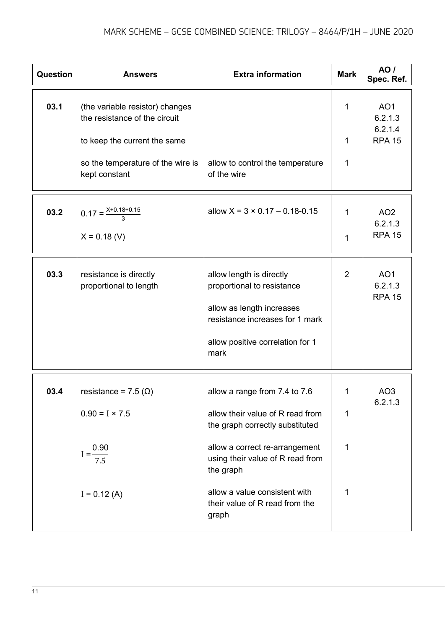| Question | <b>Answers</b>                                                   | <b>Extra information</b>                                                                                                                                           | <b>Mark</b>    | <b>AO</b> /<br>Spec. Ref.                   |
|----------|------------------------------------------------------------------|--------------------------------------------------------------------------------------------------------------------------------------------------------------------|----------------|---------------------------------------------|
| 03.1     | (the variable resistor) changes<br>the resistance of the circuit |                                                                                                                                                                    | $\mathbf{1}$   | AO <sub>1</sub><br>6.2.1.3<br>6.2.1.4       |
|          | to keep the current the same                                     |                                                                                                                                                                    | $\mathbf{1}$   | <b>RPA 15</b>                               |
|          | so the temperature of the wire is<br>kept constant               | allow to control the temperature<br>of the wire                                                                                                                    | 1              |                                             |
| 03.2     | $0.17 = \frac{X+0.18+0.15}{3}$                                   | allow $X = 3 \times 0.17 - 0.18 - 0.15$                                                                                                                            | 1              | AO <sub>2</sub><br>6.2.1.3                  |
|          | $X = 0.18$ (V)                                                   |                                                                                                                                                                    | 1              | <b>RPA 15</b>                               |
| 03.3     | resistance is directly<br>proportional to length                 | allow length is directly<br>proportional to resistance<br>allow as length increases<br>resistance increases for 1 mark<br>allow positive correlation for 1<br>mark | $\overline{2}$ | AO <sub>1</sub><br>6.2.1.3<br><b>RPA 15</b> |
| 03.4     | resistance = $7.5$ ( $\Omega$ )<br>$0.90 = I \times 7.5$         | allow a range from 7.4 to 7.6<br>allow their value of R read from<br>the graph correctly substituted                                                               | 1<br>1         | AO <sub>3</sub><br>6.2.1.3                  |
|          | $I = \frac{0.90}{7.5}$                                           | allow a correct re-arrangement<br>using their value of R read from<br>the graph                                                                                    | 1              |                                             |
|          | $I = 0.12(A)$                                                    | allow a value consistent with<br>their value of R read from the<br>graph                                                                                           | 1              |                                             |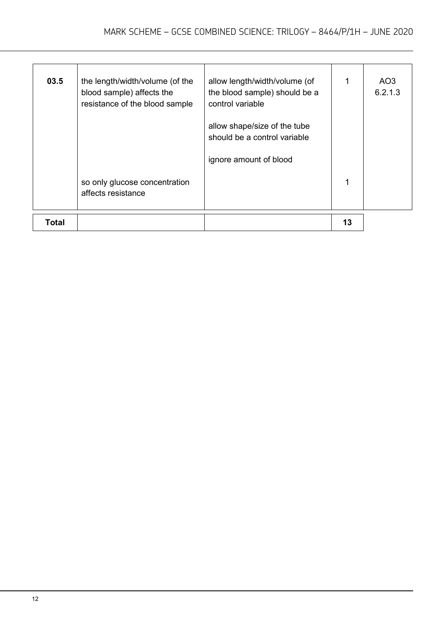| <b>Total</b> |                                                                                                |                                                                                    | 13 |                |
|--------------|------------------------------------------------------------------------------------------------|------------------------------------------------------------------------------------|----|----------------|
|              | so only glucose concentration<br>affects resistance                                            |                                                                                    |    |                |
|              |                                                                                                | ignore amount of blood                                                             |    |                |
|              |                                                                                                | allow shape/size of the tube<br>should be a control variable                       |    |                |
| 03.5         | the length/width/volume (of the<br>blood sample) affects the<br>resistance of the blood sample | allow length/width/volume (of<br>the blood sample) should be a<br>control variable |    | AO3<br>6.2.1.3 |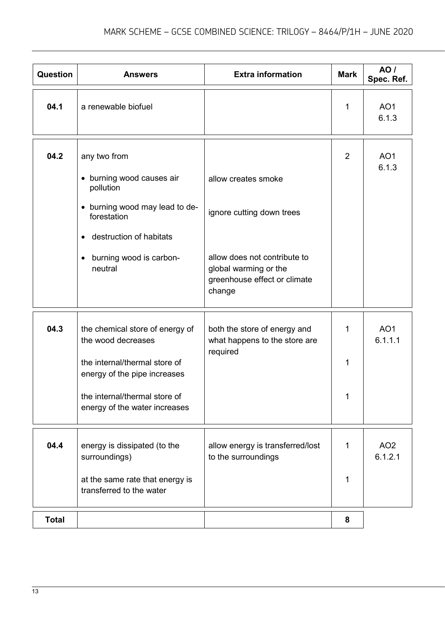| <b>Question</b> | <b>Answers</b>                                                                                                                                                                           | <b>Extra information</b>                                                                                                                            | <b>Mark</b>    | <b>AO</b> /<br>Spec. Ref.  |
|-----------------|------------------------------------------------------------------------------------------------------------------------------------------------------------------------------------------|-----------------------------------------------------------------------------------------------------------------------------------------------------|----------------|----------------------------|
| 04.1            | a renewable biofuel                                                                                                                                                                      |                                                                                                                                                     | 1              | AO <sub>1</sub><br>6.1.3   |
| 04.2            | any two from<br>• burning wood causes air<br>pollution<br>• burning wood may lead to de-<br>forestation<br>destruction of habitats<br>$\bullet$<br>burning wood is carbon-<br>neutral    | allow creates smoke<br>ignore cutting down trees<br>allow does not contribute to<br>global warming or the<br>greenhouse effect or climate<br>change | $\overline{2}$ | AO <sub>1</sub><br>6.1.3   |
| 04.3            | the chemical store of energy of<br>the wood decreases<br>the internal/thermal store of<br>energy of the pipe increases<br>the internal/thermal store of<br>energy of the water increases | both the store of energy and<br>what happens to the store are<br>required                                                                           | 1<br>1         | AO <sub>1</sub><br>6.1.1.1 |
| 04.4            | energy is dissipated (to the<br>surroundings)<br>at the same rate that energy is<br>transferred to the water                                                                             | allow energy is transferred/lost<br>to the surroundings                                                                                             | 1<br>1         | AO <sub>2</sub><br>6.1.2.1 |
| <b>Total</b>    |                                                                                                                                                                                          |                                                                                                                                                     | 8              |                            |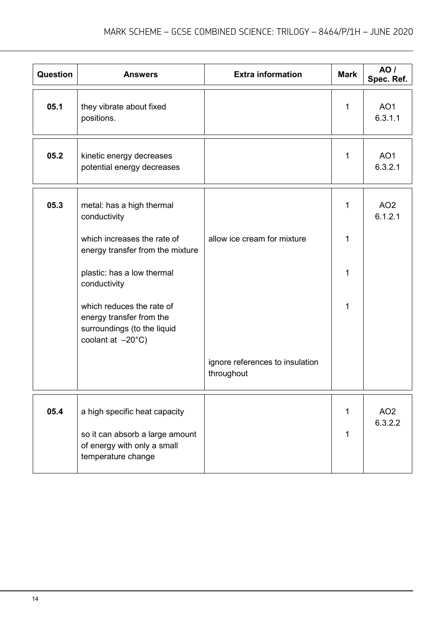| Question | <b>Answers</b>                                                                                                      | <b>Extra information</b>                      | <b>Mark</b>  | <b>AO</b> /<br>Spec. Ref.  |
|----------|---------------------------------------------------------------------------------------------------------------------|-----------------------------------------------|--------------|----------------------------|
| 05.1     | they vibrate about fixed<br>positions.                                                                              |                                               | $\mathbf{1}$ | AO <sub>1</sub><br>6.3.1.1 |
| 05.2     | kinetic energy decreases<br>potential energy decreases                                                              |                                               | 1            | AO <sub>1</sub><br>6.3.2.1 |
| 05.3     | metal: has a high thermal<br>conductivity                                                                           |                                               | 1            | AO <sub>2</sub><br>6.1.2.1 |
|          | which increases the rate of<br>energy transfer from the mixture                                                     | allow ice cream for mixture                   | 1            |                            |
|          | plastic: has a low thermal<br>conductivity                                                                          |                                               | 1            |                            |
|          | which reduces the rate of<br>energy transfer from the<br>surroundings (to the liquid<br>coolant at $-20^{\circ}$ C) |                                               | 1            |                            |
|          |                                                                                                                     | ignore references to insulation<br>throughout |              |                            |
| 05.4     | a high specific heat capacity                                                                                       |                                               | $\mathbf{1}$ | AO <sub>2</sub><br>6.3.2.2 |
|          | so it can absorb a large amount<br>of energy with only a small<br>temperature change                                |                                               | 1            |                            |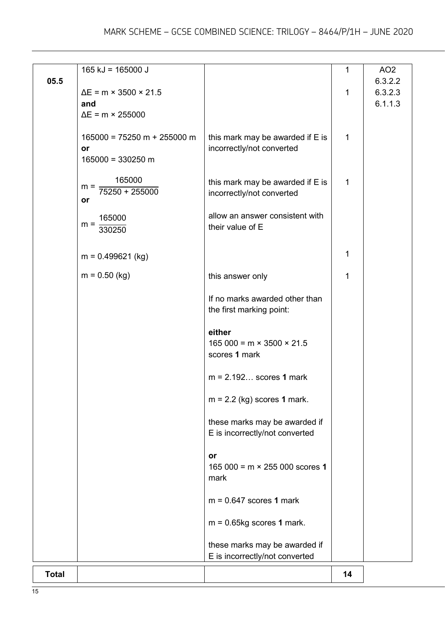| <b>Total</b> |                                     |                                                                 | 14           |                    |
|--------------|-------------------------------------|-----------------------------------------------------------------|--------------|--------------------|
|              |                                     | these marks may be awarded if<br>E is incorrectly/not converted |              |                    |
|              |                                     | $m = 0.65$ kg scores 1 mark.                                    |              |                    |
|              |                                     | $m = 0.647$ scores 1 mark                                       |              |                    |
|              |                                     | 165 000 = $m \times 255$ 000 scores 1<br>mark                   |              |                    |
|              |                                     | or                                                              |              |                    |
|              |                                     | these marks may be awarded if<br>E is incorrectly/not converted |              |                    |
|              |                                     | $m = 2.2$ (kg) scores 1 mark.                                   |              |                    |
|              |                                     | $m = 2.192$ scores 1 mark                                       |              |                    |
|              |                                     | either<br>$165000 = m \times 3500 \times 21.5$<br>scores 1 mark |              |                    |
|              |                                     | the first marking point:                                        |              |                    |
|              | $m = 0.50$ (kg)                     | this answer only<br>If no marks awarded other than              | 1            |                    |
|              | $m = 0.499621$ (kg)                 |                                                                 | 1            |                    |
|              | $m =$<br>330250                     | their value of E                                                |              |                    |
|              | or<br>165000                        | allow an answer consistent with                                 |              |                    |
|              | 165000<br>$m =$<br>$75250 + 255000$ | this mark may be awarded if E is<br>incorrectly/not converted   | 1            |                    |
|              | or<br>$165000 = 330250$ m           | incorrectly/not converted                                       |              |                    |
|              | $165000 = 75250 m + 255000 m$       | this mark may be awarded if E is                                | $\mathbf{1}$ |                    |
|              | and<br>$\Delta E$ = m × 255000      |                                                                 |              | 6.1.1.3            |
| 05.5         | $\Delta E$ = m × 3500 × 21.5        |                                                                 | 1            | 6.3.2.2<br>6.3.2.3 |
|              | $165$ kJ = 165000 J                 |                                                                 | $\mathbf{1}$ | AO <sub>2</sub>    |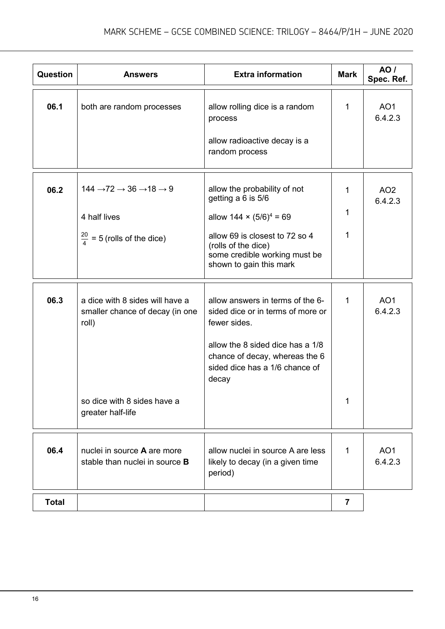| <b>Question</b> | <b>Answers</b>                                                              | <b>Extra information</b>                                                                                          | <b>Mark</b>             | AO /<br>Spec. Ref.         |
|-----------------|-----------------------------------------------------------------------------|-------------------------------------------------------------------------------------------------------------------|-------------------------|----------------------------|
| 06.1            | both are random processes                                                   | allow rolling dice is a random<br>process                                                                         | 1                       | AO <sub>1</sub><br>6.4.2.3 |
|                 |                                                                             | allow radioactive decay is a<br>random process                                                                    |                         |                            |
| 06.2            | $144 \rightarrow 72 \rightarrow 36 \rightarrow 18 \rightarrow 9$            | allow the probability of not<br>getting a 6 is 5/6                                                                | 1                       | AO <sub>2</sub><br>6.4.2.3 |
|                 | 4 half lives                                                                | allow $144 \times (5/6)^4 = 69$                                                                                   | 1                       |                            |
|                 | $\frac{20}{4}$ = 5 (rolls of the dice)                                      | allow 69 is closest to 72 so 4<br>(rolls of the dice)<br>some credible working must be<br>shown to gain this mark | 1                       |                            |
| 06.3            | a dice with 8 sides will have a<br>smaller chance of decay (in one<br>roll) | allow answers in terms of the 6-<br>sided dice or in terms of more or<br>fewer sides.                             | 1                       | AO <sub>1</sub><br>6.4.2.3 |
|                 |                                                                             | allow the 8 sided dice has a 1/8<br>chance of decay, whereas the 6<br>sided dice has a 1/6 chance of<br>decay     |                         |                            |
|                 | so dice with 8 sides have a<br>greater half-life                            |                                                                                                                   | 1                       |                            |
| 06.4            | nuclei in source A are more<br>stable than nuclei in source <b>B</b>        | allow nuclei in source A are less<br>likely to decay (in a given time<br>period)                                  | 1                       | AO <sub>1</sub><br>6.4.2.3 |
| <b>Total</b>    |                                                                             |                                                                                                                   | $\overline{\mathbf{7}}$ |                            |